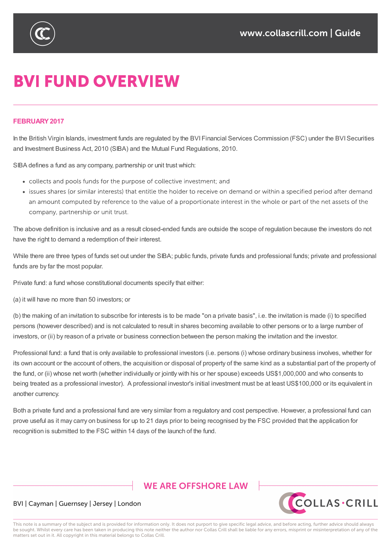

# **BVI FUND OVERVIEW**

#### **FEBRUARY2017**

In the British Virgin Islands, investment funds are regulated by the BVI Financial Services Commission (FSC) under the BVI Securities and Investment Business Act, 2010 (SIBA) and the Mutual Fund Regulations, 2010.

SIBA defines a fund as any company, partnership or unit trust which:

- collects and pools funds for the purpose of collective investment; and
- issues shares (or similar interests) that entitle the holder to receive on demand or within a specified period after demand an amount computed by reference to the value of a proportionate interest in the whole or part of the net assets of the company, partnership or unit trust.

The above definition is inclusive and as a result closed-ended funds are outside the scope of regulation because the investors do not have the right to demand a redemption of their interest.

While there are three types of funds set out under the SIBA; public funds, private funds and professional funds; private and professional funds are by far the most popular.

Private fund: a fund whose constitutional documents specify that either:

(a) it will have no more than 50 investors; or

(b) the making of an invitation to subscribe for interests is to be made "on a private basis", i.e. the invitation is made (i) to specified persons (however described) and is not calculated to result in shares becoming available to other persons or to a large number of investors, or (ii) by reason of a private or business connection between the person making the invitation and the investor.

Professional fund: a fund that is only available to professional investors (i.e. persons (i) whose ordinary business involves, whether for its own account or the account of others, the acquisition or disposal of property of the same kind as a substantial part of the property of the fund, or (ii) whose net worth (whether individually or jointly with his or her spouse) exceeds US\$1,000,000 and who consents to being treated as a professional investor). A professional investor's initial investment must be at least US\$100,000 or its equivalent in another currency.

Both a private fund and a professional fund are very similar from a regulatory and cost perspective. However, a professional fund can prove useful as it may carry on business for up to 21 days prior to being recognised by the FSC provided that the application for recognition is submitted to the FSC within 14 days of the launch of the fund.

## **WE ARE OFFSHORE LAW**



#### BVI | Cayman | Guernsey | Jersey | London

This note is a summary of the subject and is provided for information only. It does not purport to give specific legal advice, and before acting, further advice should always be sought. Whilst every care has been taken in producing this note neither the author nor Collas Crill shall be liable for any errors, misprint or misinterpretation of any of the matters set out in it. All copyright in this material belongs to Collas Crill.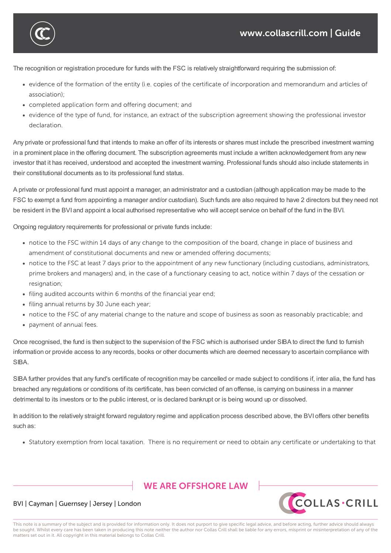The recognition or registration procedure for funds with the FSC is relatively straightforward requiring the submission of:

- evidence of the formation of the entity (i.e. copies of the certificate of incorporation and memorandum and articles of association):
- completed application form and offering document; and

recognition is submitted to the FSC within 14 days of the launch of the fund.

• evidence of the type of fund, for instance, an extract of the subscription agreement showing the professional investor declaration.

Any private or professional fund that intends to make an offer of its interests or shares must include the prescribed investment warning in a prominent place in the offering document. The subscription agreements must include a written acknowledgement from any new investor that it has received, understood and accepted the investment warning. Professional funds should also include statements in their constitutional documents as to its professional fund status.

A private or professional fund must appoint a manager, an administrator and a custodian (although application may be made to the FSC to exempt a fund from appointing a manager and/or custodian). Such funds are also required to have 2 directors but they need not be resident in the BVI and appoint a local authorised representative who will accept service on behalf of the fund in the BVI.

Ongoing regulatory requirements for professional or private funds include:

- notice to the FSC within 14 days of any change to the composition of the board, change in place of business and amendment of constitutional documents and new or amended offering documents;
- notice to the FSC at least 7 days prior to the appointment of any new functionary (including custodians, administrators, prime brokers and managers) and, in the case of a functionary ceasing to act, notice within 7 days of the cessation or resignation;
- filing audited accounts within 6 months of the financial year end;
- · filing annual returns by 30 June each year;
- notice to the FSC of any material change to the nature and scope of business as soon as reasonably practicable; and
- payment of annual fees.

Once recognised, the fund is then subject to the supervision of the FSC which is authorised under SIBA to direct the fund to furnish information or provide access to any records, books or other documents which are deemed necessary to ascertain compliance with SIBA.

SIBA further provides that any fund's certificate of recognition may be cancelled or made subject to conditions if, inter alia, the fund has breached any regulations or conditions of its certificate, has been convicted of an offense, is carrying on business in a manner detrimental to its investors or to the public interest, or is declared bankrupt or is being wound up or dissolved.

In addition to the relatively straight forward regulatory regime and application process described above, the BVI offers other benefits such as:

• Statutory exemption from local taxation. There is no requirement or need to obtain any certificate or undertaking to that

### **WE ARE OFFSHORE I AW**



#### BVI | Cayman | Guernsey | Jersey | London

This note is a summary of the subject and is provided for information only. It does not purport to give specific legal advice, and before acting, further advice should always be sought. Whilst every care has been taken in producing this note neither the author nor Collas Crill shall be liable for any errors, misprint or misinterpretation of any of the matters set out in it. All copyright in this material belongs to Collas Crill.